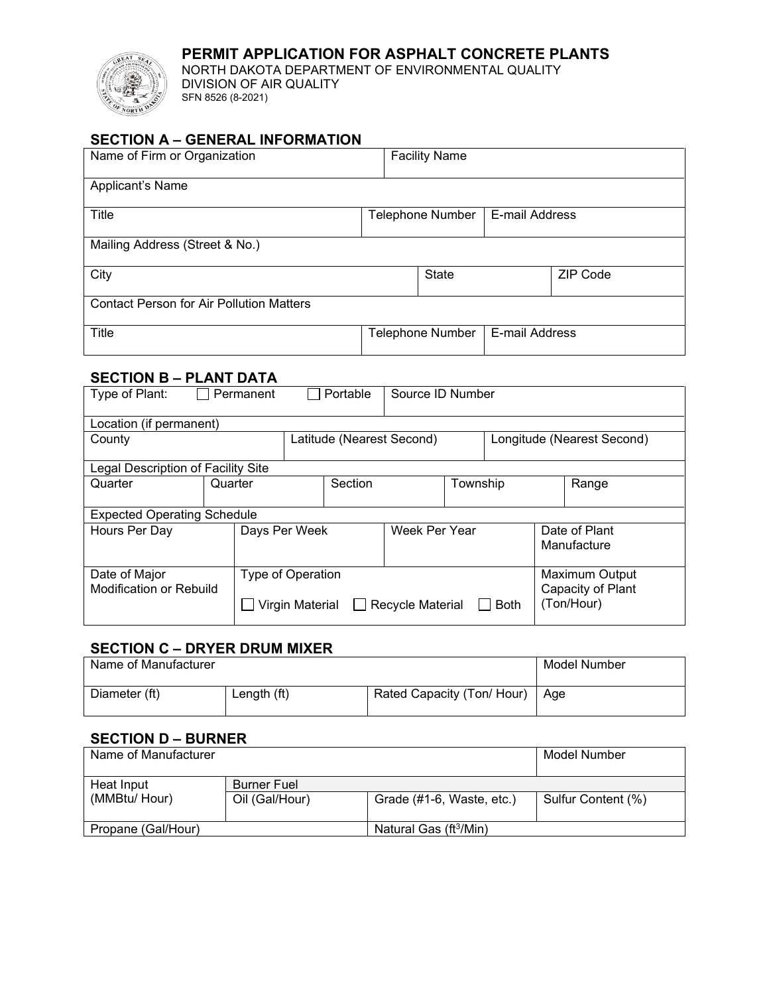

## **PERMIT APPLICATION FOR ASPHALT CONCRETE PLANTS**

NORTH DAKOTA DEPARTMENT OF ENVIRONMENTAL QUALITY DIVISION OF AIR QUALITY SFN 8526 (8-2021)

## **SECTION A – GENERAL INFORMATION**

| Name of Firm or Organization                    | <b>Facility Name</b>    |                |                 |
|-------------------------------------------------|-------------------------|----------------|-----------------|
| Applicant's Name                                |                         |                |                 |
| Title                                           | <b>Telephone Number</b> | E-mail Address |                 |
| Mailing Address (Street & No.)                  |                         |                |                 |
| City                                            | <b>State</b>            |                | <b>ZIP Code</b> |
| <b>Contact Person for Air Pollution Matters</b> |                         |                |                 |
| <b>Title</b>                                    | <b>Telephone Number</b> | E-mail Address |                 |

#### **SECTION B – PLANT DATA**

| Type of Plant:                                  | Permanent         | Portable                  | Source ID Number |          |             |                                                          |
|-------------------------------------------------|-------------------|---------------------------|------------------|----------|-------------|----------------------------------------------------------|
| Location (if permanent)                         |                   |                           |                  |          |             |                                                          |
| County                                          |                   | Latitude (Nearest Second) |                  |          |             | Longitude (Nearest Second)                               |
| Legal Description of Facility Site              |                   |                           |                  |          |             |                                                          |
| Quarter                                         | Quarter           | Section                   |                  | Township |             | Range                                                    |
| <b>Expected Operating Schedule</b>              |                   |                           |                  |          |             |                                                          |
| Hours Per Day                                   | Days Per Week     |                           | Week Per Year    |          |             | Date of Plant<br>Manufacture                             |
| Date of Major<br><b>Modification or Rebuild</b> | Type of Operation | Virgin Material $\Box$    | Recycle Material |          | <b>Both</b> | <b>Maximum Output</b><br>Capacity of Plant<br>(Ton/Hour) |

#### **SECTION C – DRYER DRUM MIXER**

| Name of Manufacturer |             |                            | Model Number |
|----------------------|-------------|----------------------------|--------------|
| Diameter (ft)        | Length (ft) | Rated Capacity (Ton/ Hour) | Age          |

## **SECTION D – BURNER**

| Name of Manufacturer |                |                                    | Model Number       |
|----------------------|----------------|------------------------------------|--------------------|
| Heat Input           | Burner Fuel    |                                    |                    |
| (MMBtu/Hour)         | Oil (Gal/Hour) | Grade (#1-6, Waste, etc.)          | Sulfur Content (%) |
|                      |                |                                    |                    |
| Propane (Gal/Hour)   |                | Natural Gas (ft <sup>3</sup> /Min) |                    |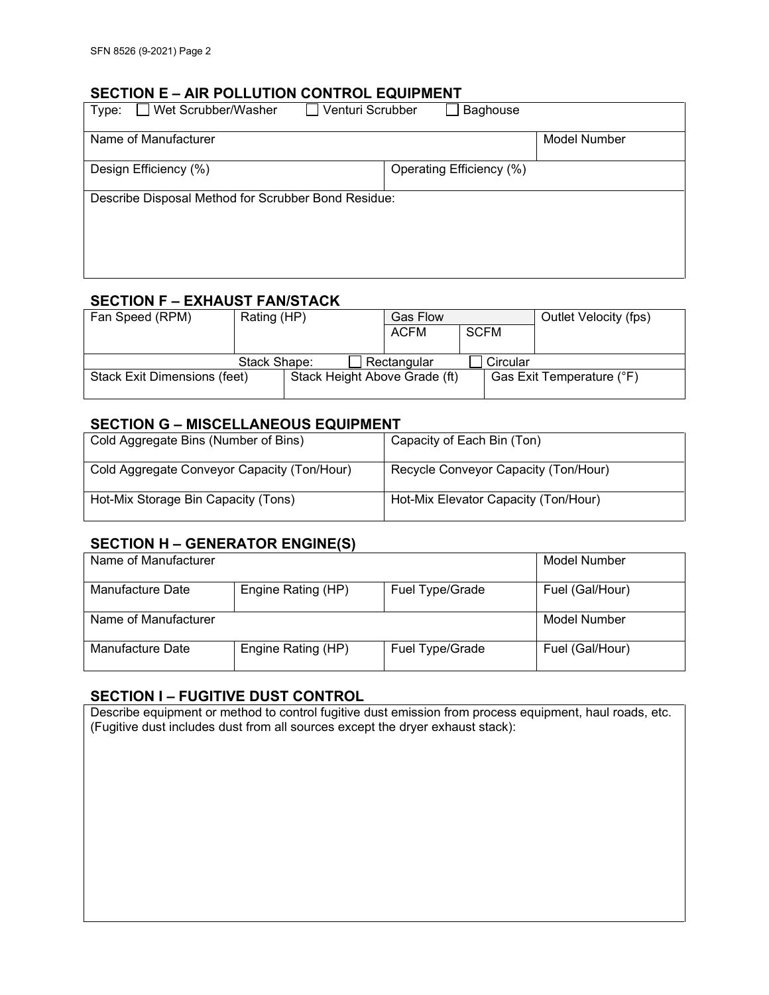#### **SECTION E – AIR POLLUTION CONTROL EQUIPMENT**

| Venturi Scrubber<br>Wet Scrubber/Washer<br>Type:    | Baghouse                 |
|-----------------------------------------------------|--------------------------|
| Name of Manufacturer                                | Model Number             |
| Design Efficiency (%)                               | Operating Efficiency (%) |
| Describe Disposal Method for Scrubber Bond Residue: |                          |
|                                                     |                          |

## **SECTION F – EXHAUST FAN/STACK**

| Fan Speed (RPM)                     | Rating (HP)                   | <b>Gas Flow</b> |             | Outlet Velocity (fps)     |
|-------------------------------------|-------------------------------|-----------------|-------------|---------------------------|
|                                     |                               | ACFM            | <b>SCFM</b> |                           |
|                                     |                               |                 |             |                           |
|                                     | Stack Shape:                  | Rectangular     | Circular    |                           |
| <b>Stack Exit Dimensions (feet)</b> | Stack Height Above Grade (ft) |                 |             | Gas Exit Temperature (°F) |

#### **SECTION G – MISCELLANEOUS EQUIPMENT**

| Cold Aggregate Bins (Number of Bins)        | Capacity of Each Bin (Ton)           |
|---------------------------------------------|--------------------------------------|
| Cold Aggregate Conveyor Capacity (Ton/Hour) | Recycle Conveyor Capacity (Ton/Hour) |
| Hot-Mix Storage Bin Capacity (Tons)         | Hot-Mix Elevator Capacity (Ton/Hour) |

# **SECTION H – GENERATOR ENGINE(S)**

| Name of Manufacturer |                    |                 | Model Number    |
|----------------------|--------------------|-----------------|-----------------|
| Manufacture Date     | Engine Rating (HP) | Fuel Type/Grade | Fuel (Gal/Hour) |
| Name of Manufacturer |                    |                 | Model Number    |
| Manufacture Date     | Engine Rating (HP) | Fuel Type/Grade | Fuel (Gal/Hour) |

## **SECTION I – FUGITIVE DUST CONTROL**

Describe equipment or method to control fugitive dust emission from process equipment, haul roads, etc. (Fugitive dust includes dust from all sources except the dryer exhaust stack):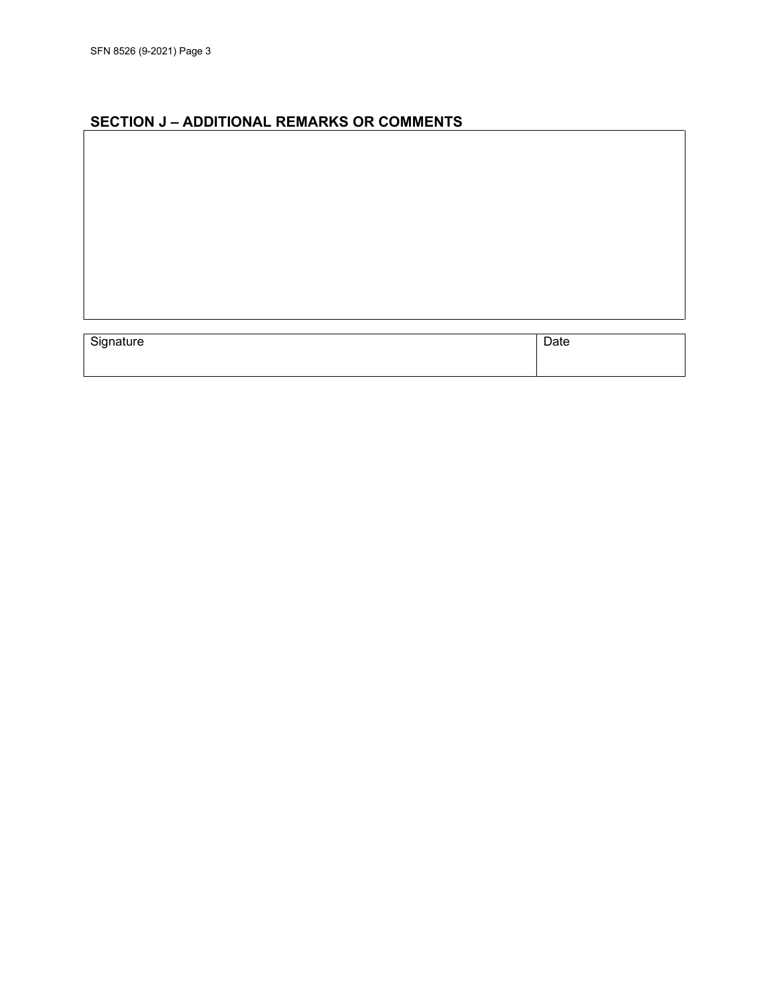# **SECTION J – ADDITIONAL REMARKS OR COMMENTS**

| Signature | Date |
|-----------|------|
|           |      |